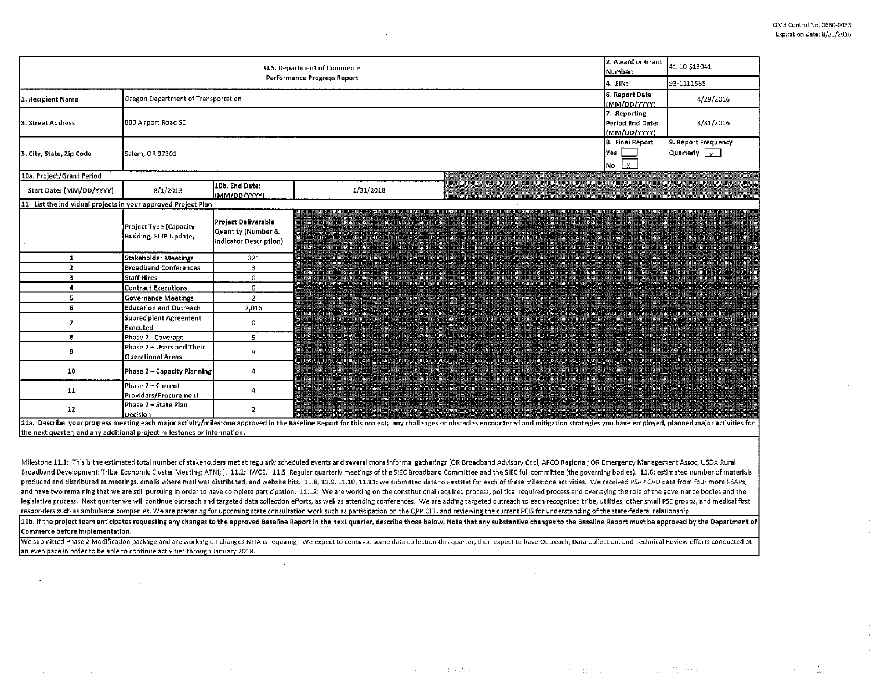| 2. Award or Grant<br>U.S. Department of Commerce<br>Number:<br>Performance Progress Report<br>4. EIN: |                                                                                               |                                                                     |                                                                  |                                                                                                                                                                                                                                                                                        |                                                  | 41-10-S13041                                |  |  |
|-------------------------------------------------------------------------------------------------------|-----------------------------------------------------------------------------------------------|---------------------------------------------------------------------|------------------------------------------------------------------|----------------------------------------------------------------------------------------------------------------------------------------------------------------------------------------------------------------------------------------------------------------------------------------|--------------------------------------------------|---------------------------------------------|--|--|
|                                                                                                       |                                                                                               |                                                                     |                                                                  |                                                                                                                                                                                                                                                                                        |                                                  | 93-1111585                                  |  |  |
| 1. Recipient Name                                                                                     | 6. Report Date<br>Oregon Department of Transportation<br>(MM/DD/YYYY)                         |                                                                     |                                                                  |                                                                                                                                                                                                                                                                                        |                                                  | 4/29/2016                                   |  |  |
| 3. Street Address                                                                                     | 800 Airport Road SE                                                                           |                                                                     |                                                                  |                                                                                                                                                                                                                                                                                        | 7. Reporting<br>Period End Date:<br>(MM/DD/YYYY) | 3/31/2016                                   |  |  |
| 5. City, State, Zip Code                                                                              | 8. Final Report<br>Yes<br>Salem, OR 97301<br>$\overline{\mathsf{No}}$ $\overline{\mathsf{X}}$ |                                                                     |                                                                  |                                                                                                                                                                                                                                                                                        |                                                  | 9. Report Frequency<br>Quarterly $\sqrt{x}$ |  |  |
| 10a. Project/Grant Period                                                                             |                                                                                               |                                                                     |                                                                  |                                                                                                                                                                                                                                                                                        |                                                  |                                             |  |  |
| Start Date: (MM/DD/YYYY)                                                                              | 8/1/2013                                                                                      | 10b. End Date:<br>(MM/DD/YYYY)                                      | 1/31/2018                                                        |                                                                                                                                                                                                                                                                                        |                                                  |                                             |  |  |
| 11. List the individual projects in your approved Project Plan                                        |                                                                                               |                                                                     |                                                                  |                                                                                                                                                                                                                                                                                        |                                                  |                                             |  |  |
|                                                                                                       | Project Type (Capacity<br>Building, SCIP Update,                                              | Project Deliverable<br>Quantity (Number &<br>Indicator Description) | <u> Hans Berger i Stadt i Stadt for de første for de første </u> | , unterfecten in Amount repeated antice in the second format resolution in the second second second second second second second second second second second second second second second second second second second second sec<br>ar an t-ainm an t-ainm an t-ainm an t-ainm an t-ainm |                                                  |                                             |  |  |
| $\mathbf{1}$                                                                                          | Stakeholder Meetings                                                                          | 321                                                                 |                                                                  |                                                                                                                                                                                                                                                                                        |                                                  |                                             |  |  |
| $\mathbf{2}$                                                                                          | <b>Broadband Conferences</b>                                                                  | $\overline{3}$                                                      |                                                                  |                                                                                                                                                                                                                                                                                        |                                                  |                                             |  |  |
| 3                                                                                                     | Staff Hires                                                                                   | $^{\circ}$                                                          |                                                                  |                                                                                                                                                                                                                                                                                        |                                                  |                                             |  |  |
| $\overline{\mathbf{a}}$                                                                               | Contract Executions                                                                           | 0                                                                   |                                                                  |                                                                                                                                                                                                                                                                                        |                                                  |                                             |  |  |
| 5.                                                                                                    | <b>Governance Meetings</b>                                                                    | $\overline{2}$                                                      |                                                                  |                                                                                                                                                                                                                                                                                        |                                                  |                                             |  |  |
| 6<br>$\overline{ }$                                                                                   | <b>Education and Outreach</b><br>Subrecipient Agreement<br>Executed                           | 2,016<br>0                                                          |                                                                  |                                                                                                                                                                                                                                                                                        |                                                  |                                             |  |  |
| 8                                                                                                     | Phase 2 - Coverage                                                                            | 5                                                                   |                                                                  |                                                                                                                                                                                                                                                                                        |                                                  |                                             |  |  |
| 9                                                                                                     | Phase 2 - Users and Their<br><b>Operational Areas</b>                                         | 4                                                                   |                                                                  |                                                                                                                                                                                                                                                                                        |                                                  |                                             |  |  |
| 10                                                                                                    | Phase 2 - Capacity Planning                                                                   | 4                                                                   |                                                                  |                                                                                                                                                                                                                                                                                        |                                                  |                                             |  |  |
| 11                                                                                                    | Phase 2 – Current<br>Providers/Procurement                                                    | 4                                                                   |                                                                  |                                                                                                                                                                                                                                                                                        |                                                  |                                             |  |  |
| 12                                                                                                    | Phase 2 - State Plan<br>Decision                                                              | 2                                                                   |                                                                  |                                                                                                                                                                                                                                                                                        |                                                  |                                             |  |  |

11a. Describe your progress meeting each major activity/milestone approved in the Baseline Report for this project; any challenges or obstacles encountered and mitigation strategies you have employed; planned major activit the next quarter; and any additional project milestones or information.

Milestone 11.1: This is the estimated total number of stakeholders met at regularly scheduled events and several more informal gatherings (OR Broadband Advisory Cncl; APCO Regional; OR Emergency Management Assoc, USDA Rural Broadband Development; Tribal Economic Cluster Meeting; ATNI; ). 11.2: IWCE. 11.5 Regular quarterly meetings of the SIEC Broadband Committee and the SIEC full committee (the governing bodies). 11.6: estimated number of mat produced and distributed at meetings, emails where matl was distributed, and website hits. 11.8, 11.9, 11.10, 11.11: we submitted data to FirstNet for each of these milestone activities. We received PSAP CAD data from four and have two remaining that we are still pursuing in order to have complete participation. 11.12: We are working on the constitutional required process, political required process and overlaying the role of the governance legislative process. Next quarter we will continue outreach and targeted data collection efforts, as well as attending conferences. We are adding targeted outreach to each recognized tribe, utilities, other small PSE group responders such as ambulance companies. We are preparing for upcoming state consultation work such as participation on the QPP CTT, and reviewing the current PEIS for understanding of the state-federal relationship.

11b. If the project team anticipates requesting any changes to the approved Baseline Report in the next quarter, describe those below. Note that any substantive changes to the Baseline Report must be approved by the Depart Commerce before implementation.

We submitted Phase 2 Modification package and are working on changes NTIA is requiring. We expect to continue some data collection this quarter, then expect to have Outreach, Data Collection, and Technical Review efforts c an even pace in order to be able to continue activities through January 2018.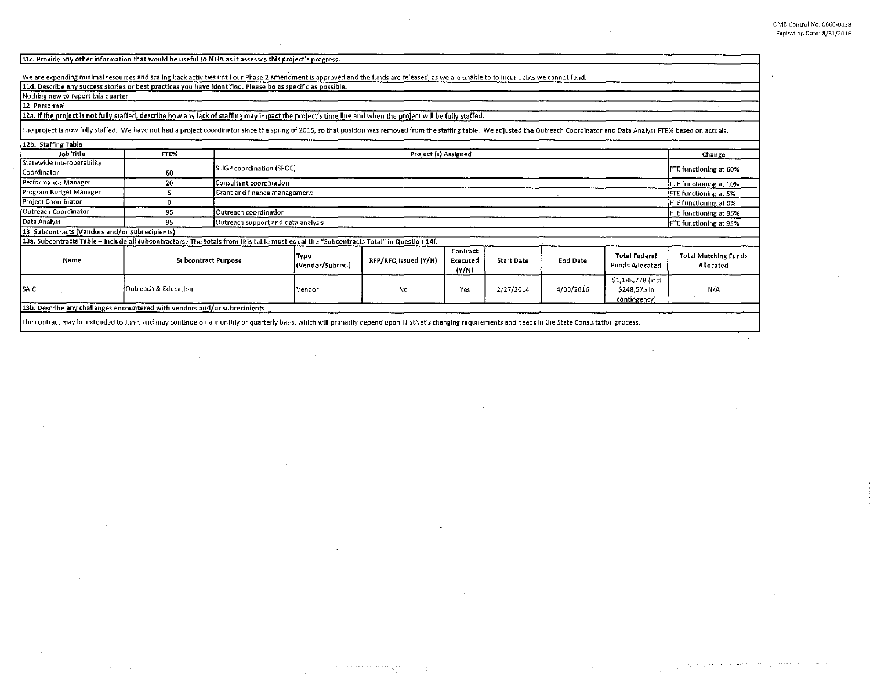11c. Provide any other information that would be useful to NTIA as it assesses this project's progress.

We are expending minimal resources and scaling back activities until our Phase 2 amendment is approved and the funds are released, as we are unable to to incur debts we cannot fund.

11d. Describe any success stories or best practices you have identified. Please be as specific as possible.

Nothing new to report this quarter. 12. Personnel

## 12a. If the project is not fully staffed, describe how any lack of staffing may impact the project's time line and when the project will be fully staffed.

The project is now fully staffed. We have not had a project coordinator since the spring of 2015, so that position was removed from the staffing table. We adjusted the Outreach Coordinator and Data Analyst FTE% based on ac 12h. Staffing Table

| Job Title                                                                                                                             | FTE%                                                                                                            | Project (s) Assigned       |                                                              |                      |                               |                   |           |                                                  | Change                                   |
|---------------------------------------------------------------------------------------------------------------------------------------|-----------------------------------------------------------------------------------------------------------------|----------------------------|--------------------------------------------------------------|----------------------|-------------------------------|-------------------|-----------|--------------------------------------------------|------------------------------------------|
| Statewide interoperability<br>Coordinator                                                                                             | 60                                                                                                              | SLIGP coordination (SPOC)  |                                                              |                      |                               |                   |           |                                                  | <b>FTE</b> functioning at 60%            |
| Performance Manager                                                                                                                   | 20                                                                                                              |                            | Consultant coordination<br>FTE functioning at 10%            |                      |                               |                   |           |                                                  |                                          |
| Program Budget Manager                                                                                                                |                                                                                                                 |                            | Grant and finance management<br>FTE functioning at 5%        |                      |                               |                   |           |                                                  |                                          |
| Project Coordinator                                                                                                                   |                                                                                                                 |                            |                                                              |                      |                               |                   |           |                                                  | FTE functioning at 0%                    |
| Outreach Coordinator                                                                                                                  | 95                                                                                                              |                            | Outreach coordination<br><b>FTE</b> functioning at 95%       |                      |                               |                   |           |                                                  |                                          |
| Data Analyst                                                                                                                          | 95                                                                                                              |                            | Outreach support and data analysis<br>FTE functioning at 95% |                      |                               |                   |           |                                                  |                                          |
| 13. Subcontracts (Vendors and/or Subrecipients)                                                                                       |                                                                                                                 |                            |                                                              |                      |                               |                   |           |                                                  |                                          |
| 13a. Subcontracts Table - include all subcontractors. The totals from this table must equal the "Subcontracts Total" in Question 14f. |                                                                                                                 |                            |                                                              |                      |                               |                   |           |                                                  |                                          |
| Name                                                                                                                                  |                                                                                                                 | <b>Subcontract Purpose</b> |                                                              | RFP/RFQ Issued (Y/N) | Contract<br>Executed<br>(Y/N) | <b>Start Date</b> | End Date  | <b>Total Federal</b><br>Funds Allocated          | <b>Total Matching Funds</b><br>Allocated |
| SAIC                                                                                                                                  | Outreach & Education                                                                                            |                            | l vendor                                                     | No                   | Yes                           | 2/27/2014         | 4/30/2016 | S1,188,778 (incl<br>\$248,575 in<br>contingency) | N/A                                      |
| 13b. Describe any challenges encountered with vendors and/or subrecipients.                                                           |                                                                                                                 |                            |                                                              |                      |                               |                   |           |                                                  |                                          |
|                                                                                                                                       | the contract of the contract of the contract of the contract of the contract of the contract of the contract of |                            |                                                              |                      |                               |                   |           |                                                  |                                          |

The contract may be extended to June, and may continue on a monthly or quarterly basis, which will primarily depend upon F!rstNet's changing requirements and needs In the State Consultation process.

بالمستوجب والمحاملة والمستنقذ